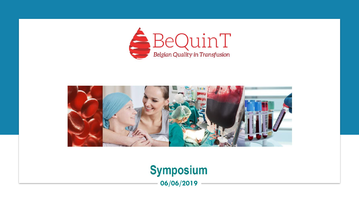



### **Symposium 06/06/2019**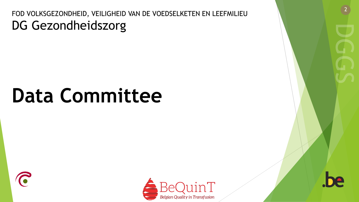FOD VOLKSGEZONDHEID, VEILIGHEID VAN DE VOEDSELKETEN EN LEEFMILIEU DG Gezondheidszorg

# **Data Committee**





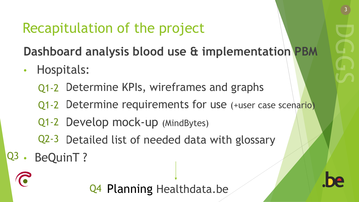# Recapitulation of the project

**Dashboard analysis blood use & implementation PBM**

- Hospitals:
	- Q1-2 Determine KPIs, wireframes and graphs
	- Q1-2 Determine requirements for use (+user case scenario)
	- Q1-2 Develop mock-up (MindBytes)
	- Q2-3 Detailed list of needed data with glossary
- BeQuinT?  $Q3$ .

Q4 Planning Healthdata.be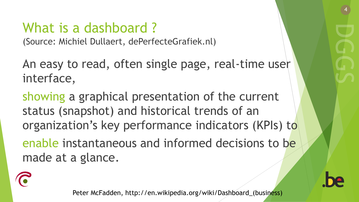# What is a dashboard ?

(Source: Michiel Dullaert, dePerfecteGrafiek.nl)

An easy to read, often single page, real-time user interface,

showing a graphical presentation of the current status (snapshot) and historical trends of an organization's key performance indicators (KPIs) to

enable instantaneous and informed decisions to be made at a glance.



Peter McFadden, http://en.wikipedia.org/wiki/Dashboard\_(business)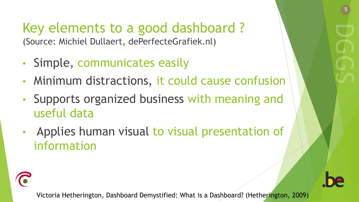### Key elements to a good dashboard ? (Source: Michiel Dullaert, dePerfecteGrafiek.nl)

- Simple, communicates easily
- Minimum distractions, it could cause confusion
- Supports organized business with meaning and useful data
- Applies human visual to visual presentation of information





Victoria Hetherington, Dashboard Demystified: What is a Dashboard? (Hetherington, 2009)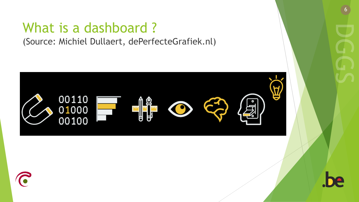### What is a dashboard ? (Source: Michiel Dullaert, dePerfecteGrafiek.nl)





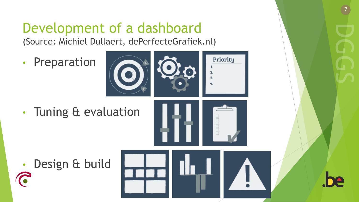# Development of a dashboard

(Source: Michiel Dullaert, dePerfecteGrafiek.nl)

• Preparation



• Tuning & evaluation







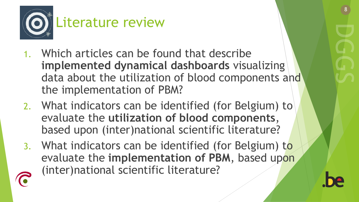

- 1. Which articles can be found that describe **implemented dynamical dashboards** visualizing data about the utilization of blood components and the implementation of PBM?
- 2. What indicators can be identified (for Belgium) to evaluate the **utilization of blood components**, based upon (inter)national scientific literature?
- 3. What indicators can be identified (for Belgium) to evaluate the **implementation of PBM**, based upon (inter)national scientific literature?



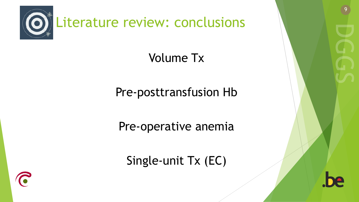

### Volume Tx

Pre-posttransfusion Hb

Pre-operative anemia

Single-unit Tx (EC)



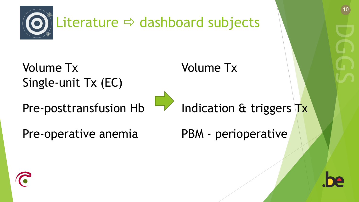

Volume Tx Single-unit Tx (EC) Volume Tx

### Pre-posttransfusion Hb



Indication & triggers Tx

Pre-operative anemia

PBM - perioperative



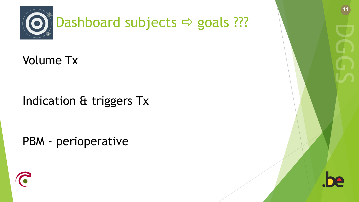

Volume Tx

Indication & triggers Tx

PBM - perioperative



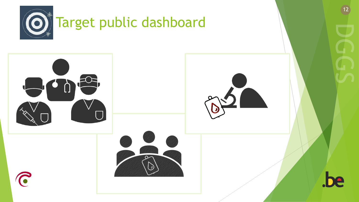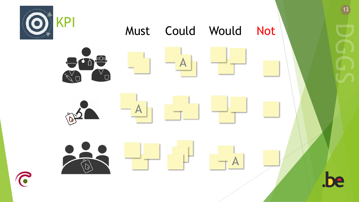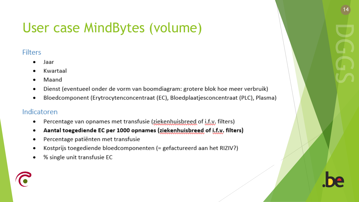# User case MindBytes (volume)

#### **Filters**

- Jaar
- Kwartaal
- Maand  $\bullet$
- Dienst (eventueel onder de vorm van boomdiagram: grotere blok hoe meer verbruik) ٠
- Bloedcomponent (Erytrocytenconcentraat (EC), Bloedplaatjesconcentraat (PLC), Plasma)

#### Indicatoren

- Percentage van opnames met transfusie (ziekenhuisbreed of i.f.y. filters)
- Aantal toegediende EC per 1000 opnames (ziekenhuisbreed of i.f.y. filters)
- Percentage patiënten met transfusie ٠
- Kostprijs toegediende bloedcomponenten (= gefactureerd aan het RIZIV?)
- % single unit transfusie EC

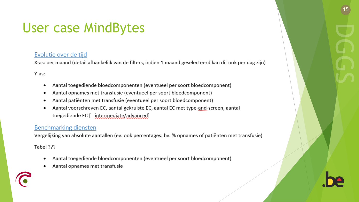### **User case MindBytes**

#### Evolutie over de tijd

X-as: per maand (detail afhankelijk van de filters, indien 1 maand geselecteerd kan dit ook per dag zijn)

Y-as:

- Aantal toegediende bloedcomponenten (eventueel per soort bloedcomponent) ٠
- Aantal opnames met transfusie (eventueel per soort bloedcomponent) ٠
- Aantal patiënten met transfusie (eventueel per soort bloedcomponent)
- Aantal voorschreven EC, aantal gekruiste EC, aantal EC met type-and-screen, aantal toegediende EC [= intermediate/advanced]

#### Benchmarking diensten

Vergelijking van absolute aantallen (ev. ook percentages: bv. % opnames of patiënten met transfusie)

Tabel ???

- Aantal toegediende bloedcomponenten (eventueel per soort bloedcomponent) ٠
- Aantal opnames met transfusie

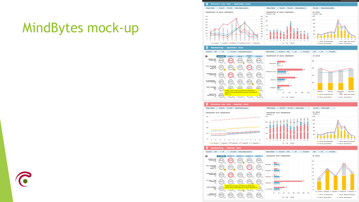### MindBytes mock -up



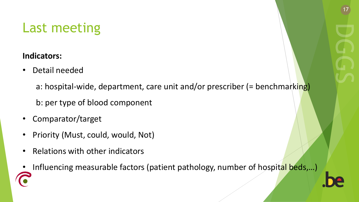## Last meeting

#### **Indicators:**

Detail needed

a: hospital-wide, department, care unit and/or prescriber (= benchmarking) b: per type of blood component

- Comparator/target
- Priority (Must, could, would, Not)
- Relations with other indicators
- Influencing measurable factors (patient pathology, number of hospital beds,...)